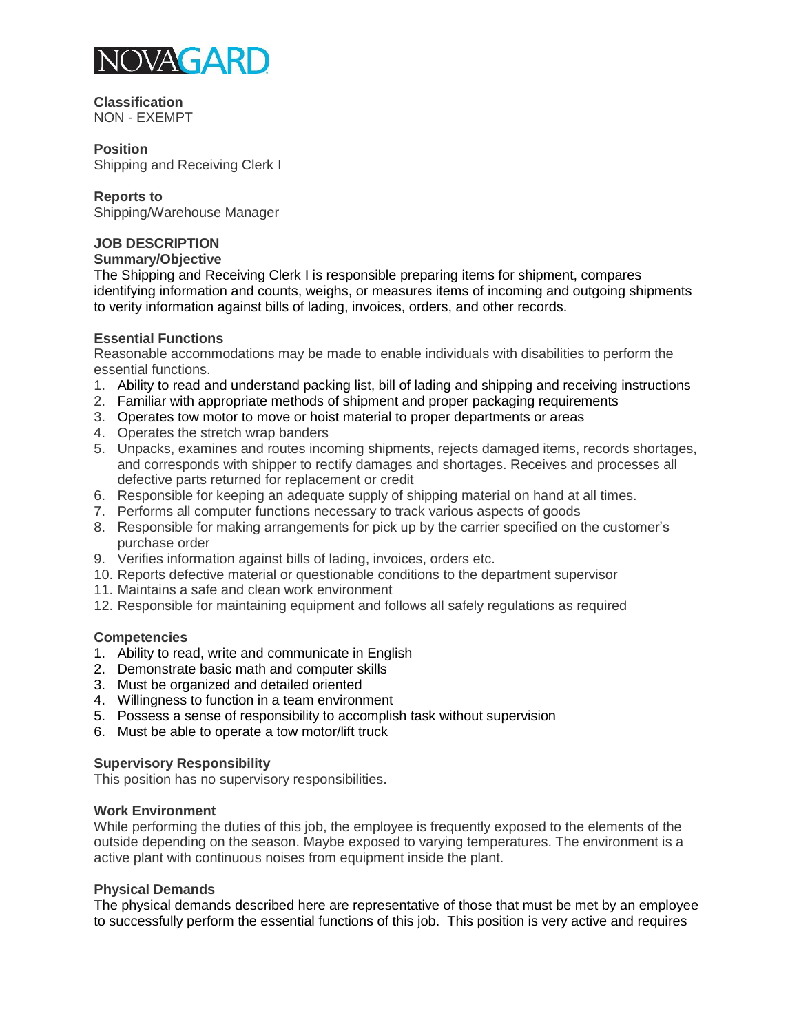

**Classification** NON - EXEMPT

#### **Position**

Shipping and Receiving Clerk I

### **Reports to**

Shipping/Warehouse Manager

# **JOB DESCRIPTION**

**Summary/Objective** 

The Shipping and Receiving Clerk I is responsible preparing items for shipment, compares identifying information and counts, weighs, or measures items of incoming and outgoing shipments to verity information against bills of lading, invoices, orders, and other records.

## **Essential Functions**

Reasonable accommodations may be made to enable individuals with disabilities to perform the essential functions.

- 1. Ability to read and understand packing list, bill of lading and shipping and receiving instructions
- 2. Familiar with appropriate methods of shipment and proper packaging requirements
- 3. Operates tow motor to move or hoist material to proper departments or areas
- 4. Operates the stretch wrap banders
- 5. Unpacks, examines and routes incoming shipments, rejects damaged items, records shortages, and corresponds with shipper to rectify damages and shortages. Receives and processes all defective parts returned for replacement or credit
- 6. Responsible for keeping an adequate supply of shipping material on hand at all times.
- 7. Performs all computer functions necessary to track various aspects of goods
- 8. Responsible for making arrangements for pick up by the carrier specified on the customer's purchase order
- 9. Verifies information against bills of lading, invoices, orders etc.
- 10. Reports defective material or questionable conditions to the department supervisor
- 11. Maintains a safe and clean work environment
- 12. Responsible for maintaining equipment and follows all safely regulations as required

#### **Competencies**

- 1. Ability to read, write and communicate in English
- 2. Demonstrate basic math and computer skills
- 3. Must be organized and detailed oriented
- 4. Willingness to function in a team environment
- 5. Possess a sense of responsibility to accomplish task without supervision
- 6. Must be able to operate a tow motor/lift truck

## **Supervisory Responsibility**

This position has no supervisory responsibilities.

## **Work Environment**

While performing the duties of this job, the employee is frequently exposed to the elements of the outside depending on the season. Maybe exposed to varying temperatures. The environment is a active plant with continuous noises from equipment inside the plant.

#### **Physical Demands**

The physical demands described here are representative of those that must be met by an employee to successfully perform the essential functions of this job. This position is very active and requires